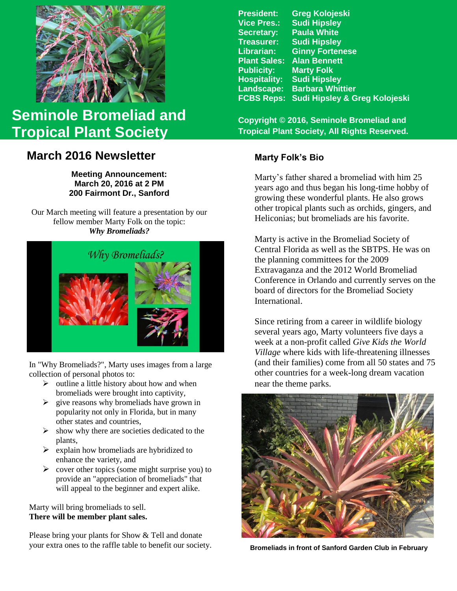

# **Seminole Bromeliad and Tropical Plant Society**

# **March 2016 Newsletter** Marty Folk's Bio

**Meeting Announcement: March 20, 2016 at 2 PM 200 Fairmont Dr., Sanford**

Our March meeting will feature a presentation by our fellow member Marty Folk on the topic: *Why Bromeliads?*



In "Why Bromeliads?", Marty uses images from a large collection of personal photos to:

- $\triangleright$  outline a little history about how and when bromeliads were brought into captivity,
- $\triangleright$  give reasons why bromeliads have grown in popularity not only in Florida, but in many other states and countries,
- $\triangleright$  show why there are societies dedicated to the plants,
- $\triangleright$  explain how bromeliads are hybridized to enhance the variety, and
- $\triangleright$  cover other topics (some might surprise you) to provide an "appreciation of bromeliads" that will appeal to the beginner and expert alike.

Marty will bring bromeliads to sell. **There will be member plant sales.**

Please bring your plants for Show & Tell and donate your extra ones to the raffle table to benefit our society.

| Sudi Hipsley & Greg Kolojeski |
|-------------------------------|
|                               |

**Copyright © 2016, Seminole Bromeliad and Tropical Plant Society, All Rights Reserved.**

Marty's father shared a bromeliad with him 25 years ago and thus began his long-time hobby of growing these wonderful plants. He also grows other tropical plants such as orchids, gingers, and Heliconias; but bromeliads are his favorite.

Marty is active in the Bromeliad Society of Central Florida as well as the SBTPS. He was on the planning committees for the 2009 Extravaganza and the 2012 World Bromeliad Conference in Orlando and currently serves on the board of directors for the Bromeliad Society International.

Since retiring from a career in wildlife biology several years ago, Marty volunteers five days a week at a non-profit called *Give Kids the World Village* where kids with life-threatening illnesses (and their families) come from all 50 states and 75 other countries for a week-long dream vacation near the theme parks.



**Bromeliads in front of Sanford Garden Club in February**